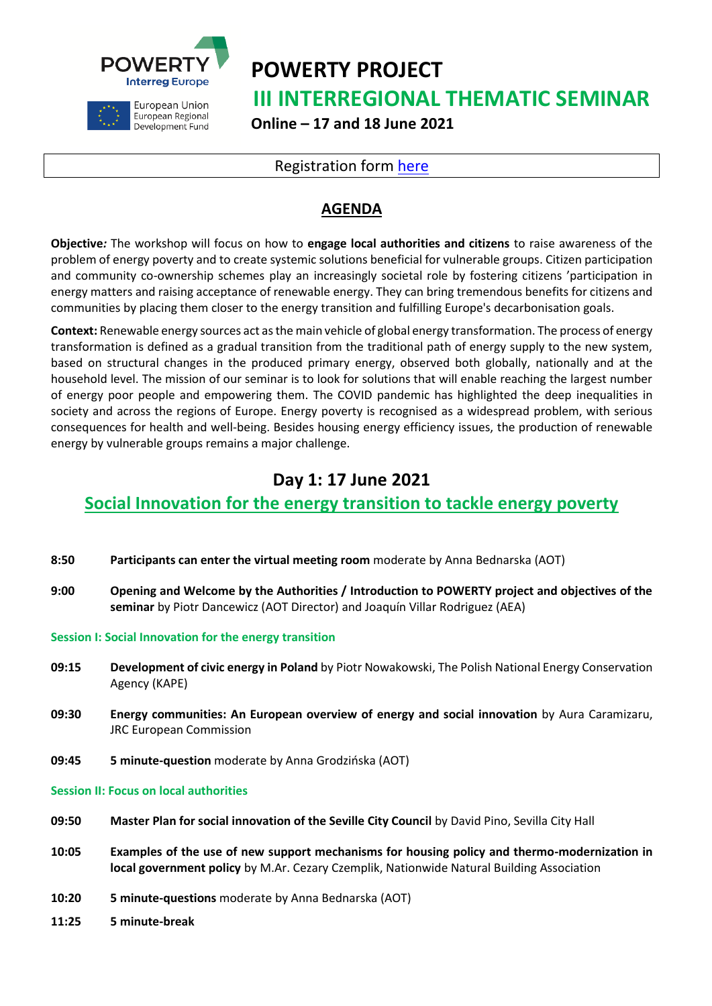



European Union European Regional Development Fund **POWERTY PROJECT III INTERREGIONAL THEMATIC SEMINAR Online – 17 and 18 June 2021**

### Registration form [here](https://zoom.us/meeting/register/tJIrc-iuqDMrEtVFSGiOcPcJcco6msV46FTC)

## **AGENDA**

**Objective***:* The workshop will focus on how to **engage local authorities and citizens** to raise awareness of the problem of energy poverty and to create systemic solutions beneficial for vulnerable groups. Citizen participation and community co-ownership schemes play an increasingly societal role by fostering citizens 'participation in energy matters and raising acceptance of renewable energy. They can bring tremendous benefits for citizens and communities by placing them closer to the energy transition and fulfilling Europe's decarbonisation goals.

**Context:** Renewable energy sources act as the main vehicle of global energy transformation. The process of energy transformation is defined as a gradual transition from the traditional path of energy supply to the new system, based on structural changes in the produced primary energy, observed both globally, nationally and at the household level. The mission of our seminar is to look for solutions that will enable reaching the largest number of energy poor people and empowering them. The COVID pandemic has highlighted the deep inequalities in society and across the regions of Europe. Energy poverty is recognised as a widespread problem, with serious consequences for health and well-being. Besides housing energy efficiency issues, the production of renewable energy by vulnerable groups remains a major challenge.

# **Day 1: 17 June 2021**

### **Social Innovation for the energy transition to tackle energy poverty**

- **8:50 Participants can enter the virtual meeting room** moderate by Anna Bednarska (AOT)
- **9:00 Opening and Welcome by the Authorities / Introduction to POWERTY project and objectives of the seminar** by Piotr Dancewicz (AOT Director) and Joaquín Villar Rodriguez (AEA)

**Session I: Social Innovation for the energy transition**

- **09:15 Development of civic energy in Poland** by Piotr Nowakowski, The Polish National Energy Conservation Agency (KAPE)
- **09:30 Energy communities: An European overview of energy and social innovation** by Aura Caramizaru, JRC European Commission
- **09:45 5 minute-question** moderate by Anna Grodzińska (AOT)

#### **Session II: Focus on local authorities**

- **09:50 Master Plan for social innovation of the Seville City Council** by David Pino, Sevilla City Hall
- **10:05 Examples of the use of new support mechanisms for housing policy and thermo-modernization in local government policy** by M.Ar. Cezary Czemplik, Nationwide Natural Building Association
- **10:20 5 minute-questions** moderate by Anna Bednarska (AOT)
- **11:25 5 minute-break**